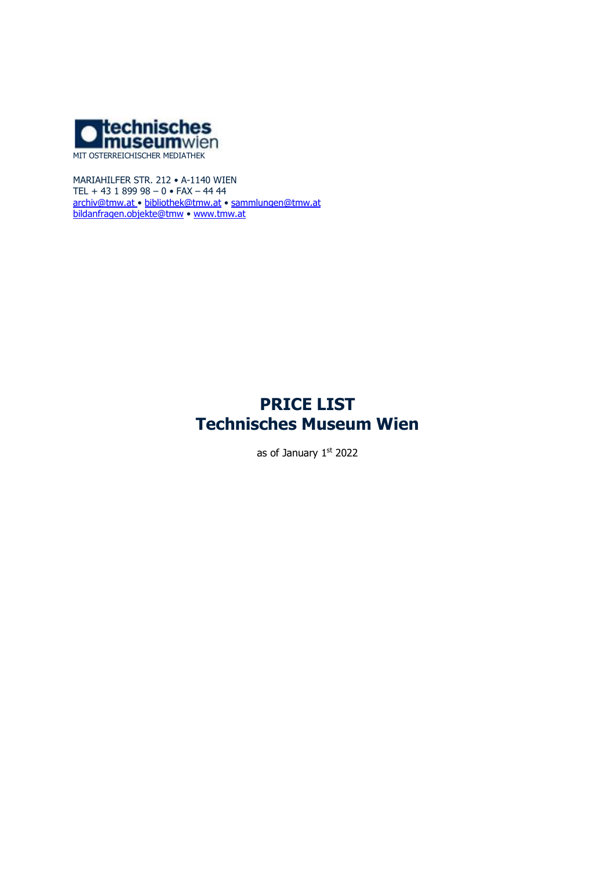

MARIAHILFER STR. 212 • A-1140 WIEN TEL + 43 1 899 98 – 0 • FAX – 44 44 [archiv@tmw.at](mailto:archiv@tmw.at) • [bibliothek@tmw.at](mailto:bibliothek@tmw.at) • [sammlungen@tmw.at](mailto:sammlungen@tmw.at) [bildanfragen.objekte@tmw](mailto:bildanfragen.objekte@tmw) • [www.tmw.at](http://www.tmw.at/)

# **PRICE LIST Technisches Museum Wien**

as of January 1st 2022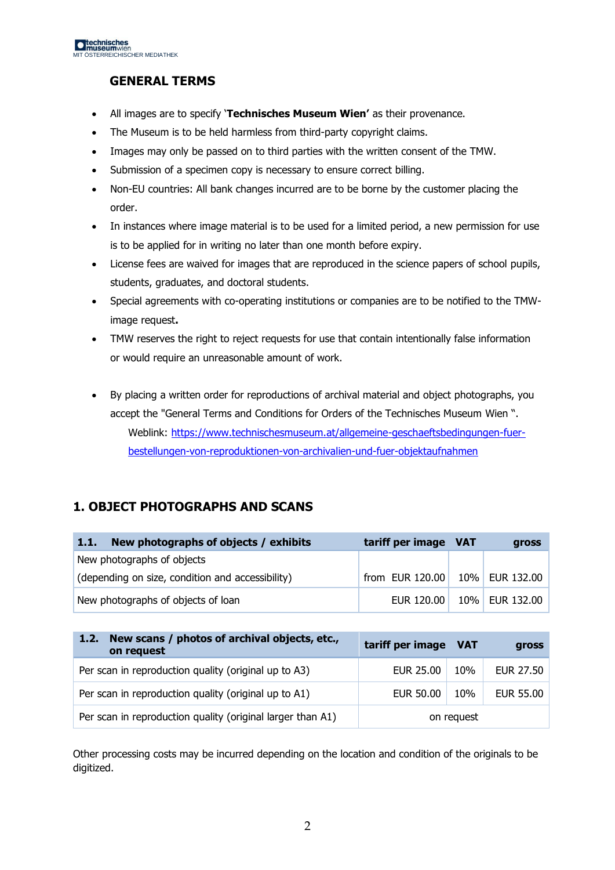# **GENERAL TERMS**

- All images are to specify '**Technisches Museum Wien'** as their provenance.
- The Museum is to be held harmless from third-party copyright claims.
- Images may only be passed on to third parties with the written consent of the TMW.
- Submission of a specimen copy is necessary to ensure correct billing.
- Non-EU countries: All bank changes incurred are to be borne by the customer placing the order.
- In instances where image material is to be used for a limited period, a new permission for use is to be applied for in writing no later than one month before expiry.
- License fees are waived for images that are reproduced in the science papers of school pupils, students, graduates, and doctoral students.
- Special agreements with co-operating institutions or companies are to be notified to the TMWimage request**.**
- TMW reserves the right to reject requests for use that contain intentionally false information or would require an unreasonable amount of work.
- By placing a written order for reproductions of archival material and object photographs, you accept the "General Terms and Conditions for Orders of the Technisches Museum Wien ". Weblink: [https://www.technischesmuseum.at/allgemeine-geschaeftsbedingungen-fuer](https://www.technischesmuseum.at/allgemeine-geschaeftsbedingungen-fuer-bestellungen-von-reproduktionen-von-archivalien-und-fuer-objektaufnahmen)[bestellungen-von-reproduktionen-von-archivalien-und-fuer-objektaufnahmen](https://www.technischesmuseum.at/allgemeine-geschaeftsbedingungen-fuer-bestellungen-von-reproduktionen-von-archivalien-und-fuer-objektaufnahmen)

# **1. OBJECT PHOTOGRAPHS AND SCANS**

| New photographs of objects / exhibits<br>1.1.    | tariff per image VAT | <b>gross</b>   |
|--------------------------------------------------|----------------------|----------------|
| New photographs of objects                       |                      |                |
| (depending on size, condition and accessibility) | from EUR 120.00      | 10% EUR 132.00 |
| New photographs of objects of loan               | EUR 120,00           | 10% EUR 132.00 |

| New scans / photos of archival objects, etc.,<br>1.2.7<br>on request | tariff per image VAT |            | gross            |
|----------------------------------------------------------------------|----------------------|------------|------------------|
| Per scan in reproduction quality (original up to A3)                 | EUR 25.00            | 10%        | EUR 27.50        |
| Per scan in reproduction quality (original up to A1)                 | <b>EUR 50.00</b>     | 10%        | <b>EUR 55.00</b> |
| Per scan in reproduction quality (original larger than A1)           |                      | on request |                  |

Other processing costs may be incurred depending on the location and condition of the originals to be digitized.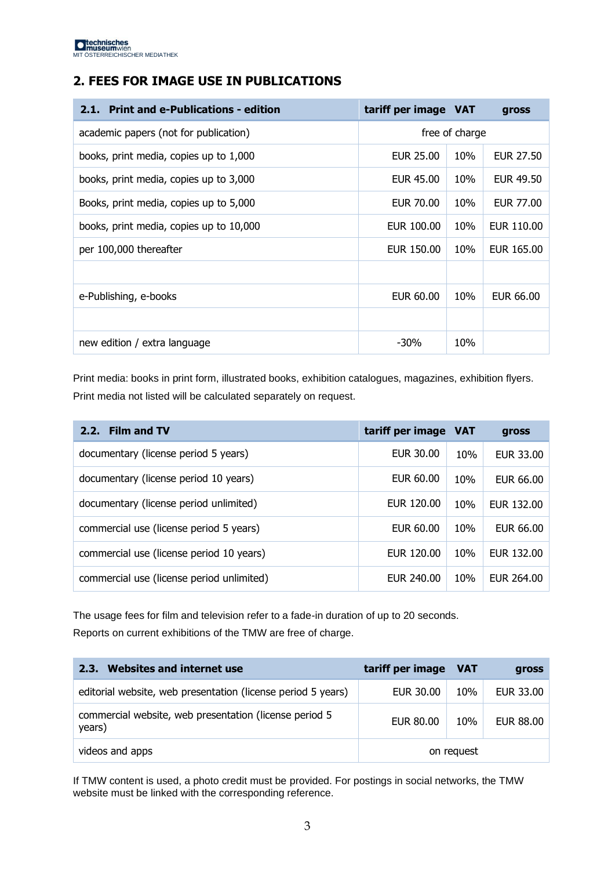# **2. FEES FOR IMAGE USE IN PUBLICATIONS**

| <b>Print and e-Publications - edition</b><br>2.1. | tariff per image VAT |                | gross      |
|---------------------------------------------------|----------------------|----------------|------------|
| academic papers (not for publication)             |                      | free of charge |            |
| books, print media, copies up to 1,000            | EUR 25.00            | 10%            | EUR 27.50  |
| books, print media, copies up to 3,000            | EUR 45.00            | 10%            | EUR 49.50  |
| Books, print media, copies up to 5,000            | EUR 70.00            | 10%            | EUR 77.00  |
| books, print media, copies up to 10,000           | EUR 100,00           | 10%            | EUR 110.00 |
| per 100,000 thereafter                            | EUR 150.00           | 10%            | EUR 165.00 |
|                                                   |                      |                |            |
| e-Publishing, e-books                             | EUR 60.00            | 10%            | EUR 66.00  |
|                                                   |                      |                |            |
| new edition / extra language                      | $-30%$               | 10%            |            |

Print media: books in print form, illustrated books, exhibition catalogues, magazines, exhibition flyers. Print media not listed will be calculated separately on request.

| 2.2. Film and TV                          | tariff per image VAT |     | gross      |
|-------------------------------------------|----------------------|-----|------------|
| documentary (license period 5 years)      | EUR 30.00            | 10% | EUR 33.00  |
| documentary (license period 10 years)     | EUR 60.00            | 10% | EUR 66.00  |
| documentary (license period unlimited)    | EUR 120.00           | 10% | EUR 132,00 |
| commercial use (license period 5 years)   | EUR 60.00            | 10% | EUR 66.00  |
| commercial use (license period 10 years)  | EUR 120.00           | 10% | EUR 132.00 |
| commercial use (license period unlimited) | EUR 240.00           | 10% | EUR 264.00 |

The usage fees for film and television refer to a fade-in duration of up to 20 seconds. Reports on current exhibitions of the TMW are free of charge.

| <b>Websites and internet use</b><br>2.3.                         | tariff per image VAT |            | gross            |
|------------------------------------------------------------------|----------------------|------------|------------------|
| editorial website, web presentation (license period 5 years)     | EUR 30.00            | 10%        | EUR 33.00        |
| commercial website, web presentation (license period 5<br>years) | <b>EUR 80.00</b>     | 10%        | <b>EUR 88.00</b> |
| videos and apps                                                  |                      | on request |                  |

If TMW content is used, a photo credit must be provided. For postings in social networks, the TMW website must be linked with the corresponding reference.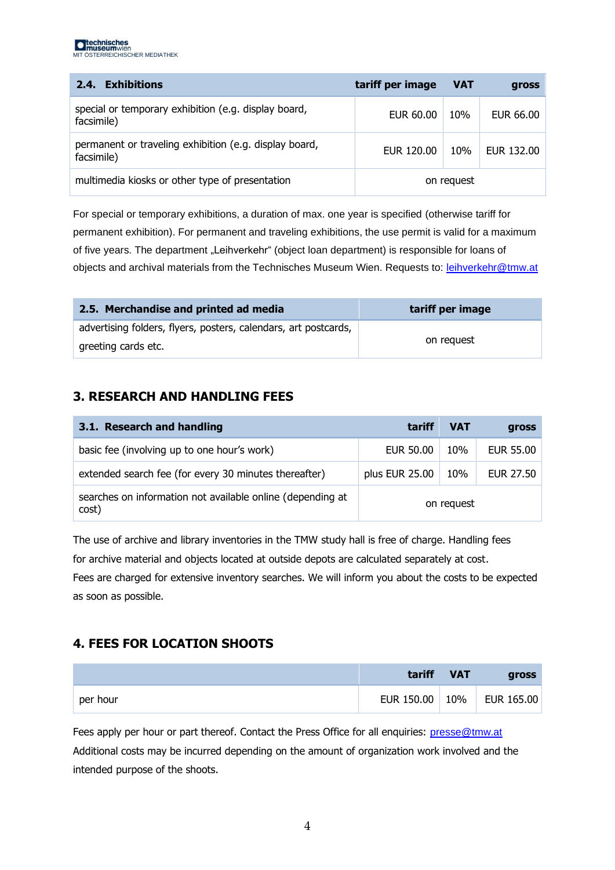| <b>Exhibitions</b><br>2.4.                                           | tariff per image | <b>VAT</b> | gross      |
|----------------------------------------------------------------------|------------------|------------|------------|
| special or temporary exhibition (e.g. display board,<br>facsimile)   | EUR 60.00        | 10%        | EUR 66.00  |
| permanent or traveling exhibition (e.g. display board,<br>facsimile) | EUR 120.00       | 10%        | EUR 132,00 |
| multimedia kiosks or other type of presentation                      |                  | on request |            |

For special or temporary exhibitions, a duration of max. one year is specified (otherwise tariff for permanent exhibition). For permanent and traveling exhibitions, the use permit is valid for a maximum of five years. The department "Leihverkehr" (object loan department) is responsible for loans of objects and archival materials from the Technisches Museum Wien. Requests to: [leihverkehr@tmw.at](mailto:leihverkehr@tmw.at)

| 2.5. Merchandise and printed ad media                           | tariff per image |
|-----------------------------------------------------------------|------------------|
| advertising folders, flyers, posters, calendars, art postcards, |                  |
| greeting cards etc.                                             | on request       |

#### **3. RESEARCH AND HANDLING FEES**

| 3.1. Research and handling                                          | tariff         | <b>VAT</b> | gross     |
|---------------------------------------------------------------------|----------------|------------|-----------|
| basic fee (involving up to one hour's work)                         | EUR 50.00      | 10%        | EUR 55.00 |
| extended search fee (for every 30 minutes thereafter)               | plus EUR 25.00 | 10%        | EUR 27.50 |
| searches on information not available online (depending at<br>cost) | on request     |            |           |

The use of archive and library inventories in the TMW study hall is free of charge. Handling fees for archive material and objects located at outside depots are calculated separately at cost. Fees are charged for extensive inventory searches. We will inform you about the costs to be expected as soon as possible.

# **4. FEES FOR LOCATION SHOOTS**

|          | tariff     | <b>VAT</b> | <b>gross</b> |
|----------|------------|------------|--------------|
| per hour | EUR 150.00 | 10%        | EUR 165.00   |

Fees apply per hour or part thereof. Contact the Press Office for all enquiries: [presse@tmw.at](mailto:presse@tmw.at) Additional costs may be incurred depending on the amount of organization work involved and the intended purpose of the shoots.